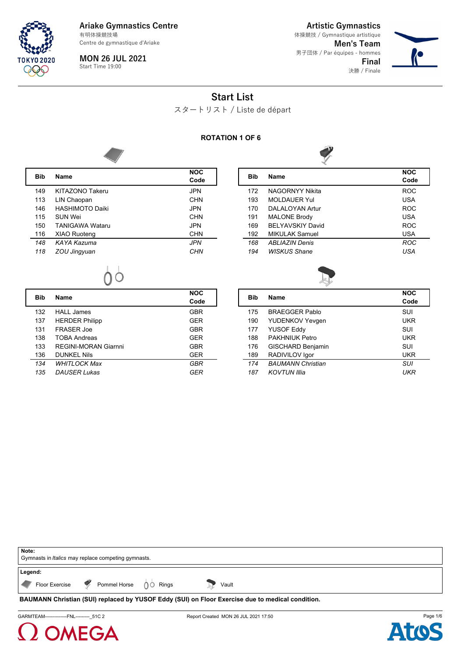

**MON 26 JUL 2021** Start Time 19:00

**Artistic Gymnastics Men's Team** 男子団体 / Par équipes - hommes **Final** 体操競技 / Gymnastique artistique

決勝 / Finale



# **Start List**

スタートリスト / Liste de départ

#### **ROTATION 1 OF 6**



| Bib | <b>Name</b>            | <b>NOC</b><br>Code |
|-----|------------------------|--------------------|
| 149 | KITAZONO Takeru        | <b>JPN</b>         |
| 113 | LIN Chaopan            | <b>CHN</b>         |
| 146 | <b>HASHIMOTO Daiki</b> | JPN                |
| 115 | SUN Wei                | <b>CHN</b>         |
| 150 | <b>TANIGAWA Wataru</b> | JPN                |
| 116 | <b>XIAO Ruoteng</b>    | CHN                |
| 148 | KAYA Kazuma            | <b>JPN</b>         |
| 118 | ZOU Jingyuan           | <b>CHN</b>         |
|     |                        |                    |

| Bib | Name                     | <b>NOC</b><br>Code |
|-----|--------------------------|--------------------|
| 172 | <b>NAGORNYY Nikita</b>   | <b>ROC</b>         |
| 193 | <b>MOLDAUER Yul</b>      | <b>USA</b>         |
| 170 | DALALOYAN Artur          | <b>ROC</b>         |
| 191 | <b>MALONE Brody</b>      | <b>USA</b>         |
| 169 | <b>BEI YAVSKIY David</b> | <b>ROC</b>         |
| 192 | <b>MIKULAK Samuel</b>    | <b>USA</b>         |
| 168 | <b>ABLIAZIN Denis</b>    | <b>ROC</b>         |
| 194 | <b>WISKUS Shane</b>      | USA                |
|     |                          |                    |

0Ò

| Bib | <b>Name</b>           | <b>NOC</b><br>Code |
|-----|-----------------------|--------------------|
| 132 | <b>HALL James</b>     | <b>GBR</b>         |
| 137 | <b>HERDER Philipp</b> | <b>GER</b>         |
| 131 | FRASER Joe            | <b>GBR</b>         |
| 138 | <b>TOBA Andreas</b>   | GER                |
| 133 | REGINI-MORAN Giarnni  | <b>GBR</b>         |
| 136 | <b>DUNKEL Nils</b>    | <b>GER</b>         |
| 134 | WHITI OCK Max         | GBR                |
| 135 | <b>DAUSER Lukas</b>   | GFR                |

| Bib | <b>Name</b>              | <b>NOC</b><br>Code |
|-----|--------------------------|--------------------|
| 175 | <b>BRAFGGFR Pablo</b>    | SUI                |
| 190 | <b>YUDENKOV Yevgen</b>   | <b>UKR</b>         |
| 177 | <b>YUSOF Eddy</b>        | SUI                |
| 188 | <b>PAKHNIUK Petro</b>    | <b>UKR</b>         |
| 176 | <b>GISCHARD Benjamin</b> | SUI                |
| 189 | RADIVILOV Igor           | <b>UKR</b>         |
| 174 | <b>BAUMANN Christian</b> | SUI                |
| 187 | <b>KOVTUN Illia</b>      | UKR                |
|     |                          |                    |

| Note:<br>Gymnasts in <i>Italics</i> may replace competing gymnasts.                                    |
|--------------------------------------------------------------------------------------------------------|
| Legend:                                                                                                |
| Floor Exercise P Pommel Horse 00 Rings<br>Vault                                                        |
| <b>BAUMANN Christian (SUI) replaced by YUSOF Eddy (SUI) on Floor Exercise due to medical condition</b> |

(SUI) replaced by YUSOF Eddy (SUI) on Floor Exercise due to medical co

GARMTEAM---------------FNL----------\_51C 2 **Report Created MON 26 JUL 2021 17:50** Page 1/6



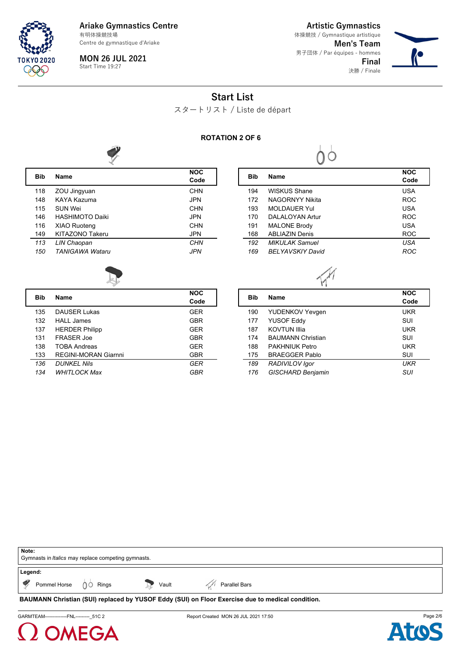

**Ariake Gymnastics Centre** 有明体操競技場

Centre de gymnastique d'Ariake

**MON 26 JUL 2021** Start Time 19:27

**Artistic Gymnastics Men's Team** 男子団体 / Par équipes - hommes **Final** 決勝 / Finale 体操競技 / Gymnastique artistique



# **Start List**

スタートリスト / Liste de départ

#### **ROTATION 2 OF 6**



| Bib | <b>Name</b>            | <b>NOC</b><br>Code |
|-----|------------------------|--------------------|
| 118 | ZOU Jingyuan           | <b>CHN</b>         |
| 148 | KAYA Kazuma            | <b>JPN</b>         |
| 115 | SUN Wei                | <b>CHN</b>         |
| 146 | <b>HASHIMOTO Daiki</b> | <b>JPN</b>         |
| 116 | <b>XIAO Ruoteng</b>    | <b>CHN</b>         |
| 149 | KITAZONO Takeru        | <b>JPN</b>         |
| 113 | LIN Chaopan            | <b>CHN</b>         |
| 150 | <b>TANIGAWA Wataru</b> | <b>JPN</b>         |
|     |                        |                    |

| Bib | <b>Name</b>              | <b>NOC</b><br>Code |
|-----|--------------------------|--------------------|
| 194 | WISKUS Shane             | <b>USA</b>         |
| 172 | <b>NAGORNYY Nikita</b>   | <b>ROC</b>         |
| 193 | <b>MOLDAUER Yul</b>      | <b>USA</b>         |
| 170 | DAI AI OYAN Artur        | <b>ROC</b>         |
| 191 | <b>MALONE Brody</b>      | USA                |
| 168 | <b>ABI IAZIN Denis</b>   | <b>ROC</b>         |
| 192 | <b>MIKULAK Samuel</b>    | <b>USA</b>         |
| 169 | <b>BFI YAVSKIY David</b> | ROC                |

0Ò



| Bib | <b>Name</b>                 | <b>NOC</b><br>Code |
|-----|-----------------------------|--------------------|
| 135 | <b>DAUSER Lukas</b>         | GER                |
| 132 | HALL James                  | <b>GBR</b>         |
| 137 | <b>HERDER Philipp</b>       | <b>GER</b>         |
| 131 | <b>FRASER Joe</b>           | GBR                |
| 138 | <b>TOBA Andreas</b>         | GER                |
| 133 | <b>REGINI-MORAN Giarnni</b> | <b>GBR</b>         |
| 136 | <b>DUNKEL Nils</b>          | GER                |
| 134 | <b>WHITLOCK Max</b>         | GBR                |

| <b>Bib</b> | <b>Name</b>              | <b>NOC</b><br>Code |
|------------|--------------------------|--------------------|
| 190        | YUDENKOV Yevgen          | <b>UKR</b>         |
| 177        | <b>YUSOF Eddy</b>        | SUI                |
| 187        | <b>KOVTUN Illia</b>      | <b>UKR</b>         |
| 174        | <b>BAUMANN Christian</b> | SUI                |
| 188        | PAKHNIUK Petro           | <b>UKR</b>         |
| 175        | <b>BRAEGGER Pablo</b>    | SUI                |
| 189        | RADIVILOV Igor           | UKR                |
| 176        | <b>GISCHARD Benjamin</b> | SUI                |
|            |                          |                    |

| Note:<br>Gymnasts in <i>Italics</i> may replace competing gymnasts.                              |       |               |  |
|--------------------------------------------------------------------------------------------------|-------|---------------|--|
| Legend:<br>Pommel Horse $\bigcirc$ Rings<br>$\mathcal{L}$                                        | Vault | Parallel Bars |  |
| BAUMANN Christian (SUI) replaced by YUSOF Eddy (SUI) on Floor Exercise due to medical condition. |       |               |  |





GARMTEAM---------------FNL-----------\_51C 2 Report Created MON 26 JUL 2021 17:50

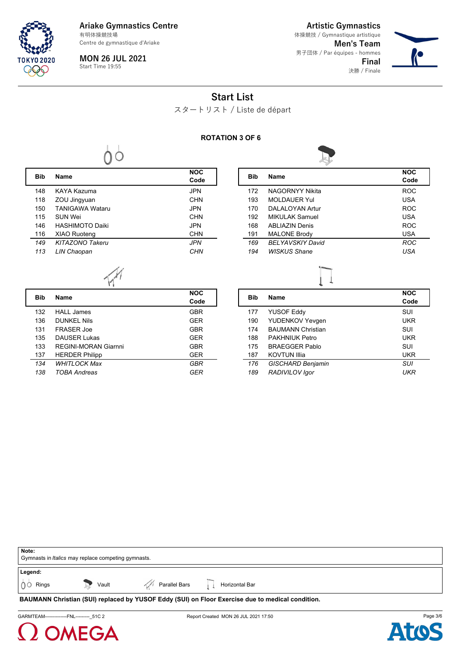

**MON 26 JUL 2021** Start Time 19:55

 $00$ 

**Artistic Gymnastics**

**Men's Team** 男子団体 / Par équipes - hommes **Final** 決勝 / Finale 体操競技 / Gymnastique artistique



### **Start List**

スタートリスト / Liste de départ

#### **ROTATION 3 OF 6**

 $\lfloor$ 

L



| Bib | <b>Name</b>            | <b>NOC</b><br>Code |
|-----|------------------------|--------------------|
| 148 | KAYA Kazuma            | JPN                |
| 118 | ZOU Jingyuan           | CHN                |
| 150 | <b>TANIGAWA Wataru</b> | JPN                |
| 115 | SUN Wei                | CHN                |
| 146 | <b>HASHIMOTO Daiki</b> | JPN                |
| 116 | <b>XIAO Ruoteng</b>    | CHN                |
| 149 | <b>KITAZONO Takeru</b> | <b>JPN</b>         |
| 113 | LIN Chaopan            | CHN                |
|     |                        |                    |

| Bib | <b>Name</b>             | <b>NOC</b><br>Code |
|-----|-------------------------|--------------------|
| 172 | NAGORNYY Nikita         | <b>ROC</b>         |
| 193 | <b>MOLDAUER Yul</b>     | <b>USA</b>         |
| 170 | DAI AI OYAN Artur       | <b>ROC</b>         |
| 192 | <b>MIKULAK Samuel</b>   | <b>USA</b>         |
| 168 | <b>ARI JAZIN Denis</b>  | <b>ROC</b>         |
| 191 | <b>MALONE Brody</b>     | <b>USA</b>         |
| 169 | <b>BELYAVSKIY David</b> | <b>ROC</b>         |
| 194 | <b>WISKUS Shane</b>     | USA                |

| Bib | <b>Name</b>           | <b>NOC</b> |
|-----|-----------------------|------------|
|     |                       | Code       |
| 132 | <b>HALL James</b>     | <b>GBR</b> |
| 136 | DUNKEL Nils           | <b>GER</b> |
| 131 | FRASER Joe            | <b>GBR</b> |
| 135 | <b>DAUSER Lukas</b>   | <b>GER</b> |
| 133 | REGINI-MORAN Giarnni  | <b>GBR</b> |
| 137 | <b>HERDER Philipp</b> | <b>GER</b> |
| 134 | <b>WHITI OCK Max</b>  | GBR        |
| 138 | TOBA Andreas          | GFR        |

|            | ∽                        |                    |
|------------|--------------------------|--------------------|
| <b>Bib</b> | <b>Name</b>              | <b>NOC</b><br>Code |
| 177        | <b>YUSOF Eddy</b>        | SUI                |
| 190        | <b>YUDENKOV Yevgen</b>   | <b>UKR</b>         |
| 174        | <b>BAUMANN Christian</b> | SUI                |
| 188        | PAKHNIUK Petro           | <b>UKR</b>         |
| 175        | <b>BRAFGGFR Pablo</b>    | SUI                |
| 187        | <b>KOVTUN Illia</b>      | <b>UKR</b>         |
| 176        | <b>GISCHARD Benjamin</b> | SUI                |
| 189        | RADIVILOV Igor           | UKR                |

| Note:               |                                                            |               |                                                                                                  |
|---------------------|------------------------------------------------------------|---------------|--------------------------------------------------------------------------------------------------|
|                     | Gymnasts in <i>Italics</i> may replace competing gymnasts. |               |                                                                                                  |
|                     |                                                            |               |                                                                                                  |
| Legend:             |                                                            |               |                                                                                                  |
| <b>100</b><br>Rings | Vault                                                      | Parallel Bars | Horizontal Bar                                                                                   |
|                     |                                                            |               | BAUMANN Christian (SUI) replaced by YUSOF Eddy (SUI) on Floor Exercise due to medical condition. |



GARMTEAM---------------FNL----------\_51C 2 **Report Created MON 26 JUL 2021 17:50** Page 3/6

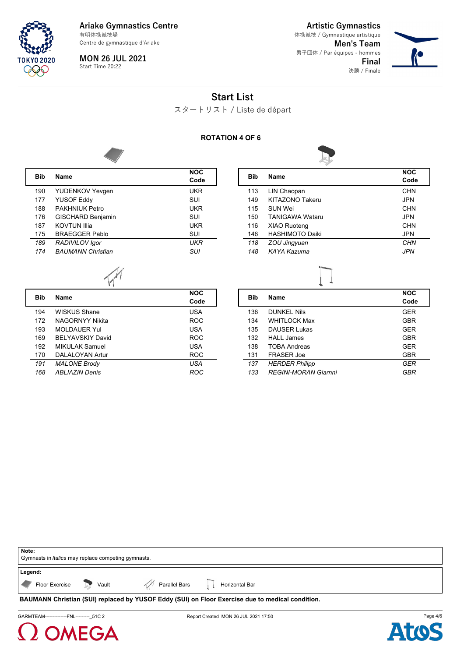

**MON 26 JUL 2021** Start Time 20:22

**Artistic Gymnastics**

**Men's Team** 男子団体 / Par équipes - hommes **Final** 決勝 / Finale 体操競技 / Gymnastique artistique



# **Start List**

スタートリスト / Liste de départ

#### **ROTATION 4 OF 6**



| Bib | <b>Name</b>              | <b>NOC</b><br>Code |
|-----|--------------------------|--------------------|
| 190 | <b>YUDENKOV Yevgen</b>   | UKR                |
| 177 | <b>YUSOF Eddy</b>        | SUI                |
| 188 | <b>PAKHNIUK Petro</b>    | UKR                |
| 176 | <b>GISCHARD Benjamin</b> | SUI                |
| 187 | <b>KOVTUN Illia</b>      | <b>UKR</b>         |
| 175 | <b>BRAEGGER Pablo</b>    | SUI                |
| 189 | RADIVILOV Igor           | UKR                |
| 174 | <b>BAUMANN Christian</b> | SUI                |
|     |                          |                    |

| Bib | Name                   | <b>NOC</b><br>Code |
|-----|------------------------|--------------------|
| 113 | LIN Chaopan            | CHN                |
| 149 | KITAZONO Takeru        | <b>JPN</b>         |
| 115 | SUN Wei                | <b>CHN</b>         |
| 150 | <b>TANIGAWA Wataru</b> | JPN                |
| 116 | <b>XIAO Ruoteng</b>    | CHN                |
| 146 | <b>HASHIMOTO Daiki</b> | <b>JPN</b>         |
| 118 | ZOU Jingyuan           | CHN                |
| 148 | KAYA Kazuma            | JPN                |
|     |                        |                    |

| Bib | <b>Name</b>              | <b>NOC</b><br>Code |
|-----|--------------------------|--------------------|
| 194 | WISKUS Shane             | <b>USA</b>         |
| 172 | NAGORNYY Nikita          | <b>ROC</b>         |
| 193 | <b>MOLDAUER Yul</b>      | <b>USA</b>         |
| 169 | <b>BEI YAVSKIY David</b> | <b>ROC</b>         |
| 192 | MIKULAK Samuel           | <b>USA</b>         |
| 170 | DALALOYAN Artur          | <b>ROC</b>         |
| 191 | <b>MALONE Brody</b>      | USA                |
| 168 | <b>ABLIAZIN Denis</b>    | ROC                |

| <b>Bib</b> | <b>Name</b>                 | <b>NOC</b><br>Code |
|------------|-----------------------------|--------------------|
| 136        | DUNKEL Nils                 | <b>GER</b>         |
| 134        | <b>WHITLOCK Max</b>         | <b>GBR</b>         |
| 135        | <b>DAUSER Lukas</b>         | <b>GER</b>         |
| 132        | HALL James                  | GBR                |
| 138        | <b>TOBA Andreas</b>         | <b>GER</b>         |
| 131        | <b>FRASER Joe</b>           | <b>GBR</b>         |
| 137        | <b>HERDER Philipp</b>       | GER                |
| 133        | <b>REGINI-MORAN Giarnni</b> | GBR                |

| Note:                                                      |                                    |                                                                                                  |
|------------------------------------------------------------|------------------------------------|--------------------------------------------------------------------------------------------------|
| Gymnasts in <i>Italics</i> may replace competing gymnasts. |                                    |                                                                                                  |
|                                                            |                                    |                                                                                                  |
| Legend:                                                    |                                    |                                                                                                  |
| Floor Exercise <b>D</b> Vault                              | Parallel Bars       Horizontal Bar |                                                                                                  |
|                                                            |                                    | BAUMANN Christian (SUI) replaced by YUSOF Eddy (SUI) on Floor Exercise due to medical condition. |





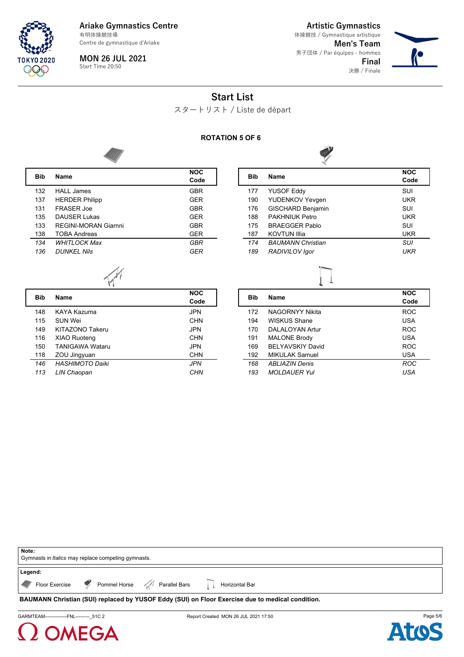

**MON 26 JUL 2021** Start Time 20:50

**Artistic Gymnastics Men's Team** 男子団体 / Par équipes - hommes 体操競技 / Gymnastique artistique

> **Final** 決勝 / Finale



# **Start List**

スタートリスト / Liste de départ

#### **ROTATION 5 OF 6**

L



| Bib | <b>Name</b>           | <b>NOC</b><br>Code |
|-----|-----------------------|--------------------|
| 132 | HALL James            | <b>GBR</b>         |
| 137 | <b>HERDER Philipp</b> | <b>GER</b>         |
| 131 | FRASFR Joe            | <b>GBR</b>         |
| 135 | DAUSER Lukas          | <b>GER</b>         |
| 133 | REGINI-MORAN Giarnni  | <b>GBR</b>         |
| 138 | <b>TOBA Andreas</b>   | <b>GER</b>         |
| 134 | <b>WHITLOCK Max</b>   | GBR                |
| 136 | DUNKEL Nils           | GFR                |
|     |                       |                    |

| Bib | <b>Name</b>              | <b>NOC</b><br>Code |
|-----|--------------------------|--------------------|
| 177 | <b>YUSOF Eddy</b>        | SUI                |
| 190 | <b>YUDENKOV Yevgen</b>   | UKR                |
| 176 | <b>GISCHARD Benjamin</b> | SUI                |
| 188 | <b>PAKHNIUK Petro</b>    | UKR                |
| 175 | <b>BRAFGGFR Pablo</b>    | SUI                |
| 187 | <b>KOVTUN Illia</b>      | UKR                |
| 174 | <b>BAUMANN Christian</b> | SUI                |
| 189 | RADIVILOV Igor           | UKR                |
|     |                          |                    |

| <b>Bib</b> | <b>Name</b>            | <b>NOC</b><br>Code |
|------------|------------------------|--------------------|
| 148        | KAYA Kazuma            | <b>JPN</b>         |
| 115        | SUN Wei                | <b>CHN</b>         |
| 149        | KITAZONO Takeru        | <b>JPN</b>         |
| 116        | <b>XIAO Ruoteng</b>    | <b>CHN</b>         |
| 150        | <b>TANIGAWA Wataru</b> | JPN                |
| 118        | ZOU Jingyuan           | <b>CHN</b>         |
| 146        | <b>HASHIMOTO Daiki</b> | <b>JPN</b>         |
| 113        | LIN Chaopan            | CHN                |

| <b>Bib</b> | <b>Name</b>              | <b>NOC</b><br>Code |
|------------|--------------------------|--------------------|
| 172        | NAGORNYY Nikita          | <b>ROC</b>         |
| 194        | WISKUS Shane             | <b>USA</b>         |
| 170        | DAI AI OYAN Artur        | <b>ROC</b>         |
| 191        | <b>MALONE Brody</b>      | <b>USA</b>         |
| 169        | <b>BEI YAVSKIY David</b> | ROC.               |
| 192        | <b>MIKULAK Samuel</b>    | <b>USA</b>         |
| 168        | <b>ABI IAZIN Denis</b>   | <b>ROC</b>         |
| 193        | <b>MOLDAUER Yul</b>      | USA                |

| Note:                                                                                            |  |  |
|--------------------------------------------------------------------------------------------------|--|--|
| Gymnasts in <i>Italics</i> may replace competing gymnasts.                                       |  |  |
|                                                                                                  |  |  |
| Legend:                                                                                          |  |  |
| Floor Exercise P Pommel Horse A Parallel Bars       Horizontal Bar                               |  |  |
| BAUMANN Christian (SUI) replaced by YUSOF Eddy (SUI) on Floor Exercise due to medical condition. |  |  |

GARMTEAM---------------FNL-----------\_51C 2 Report Created MON 26 JUL 2021 17:50